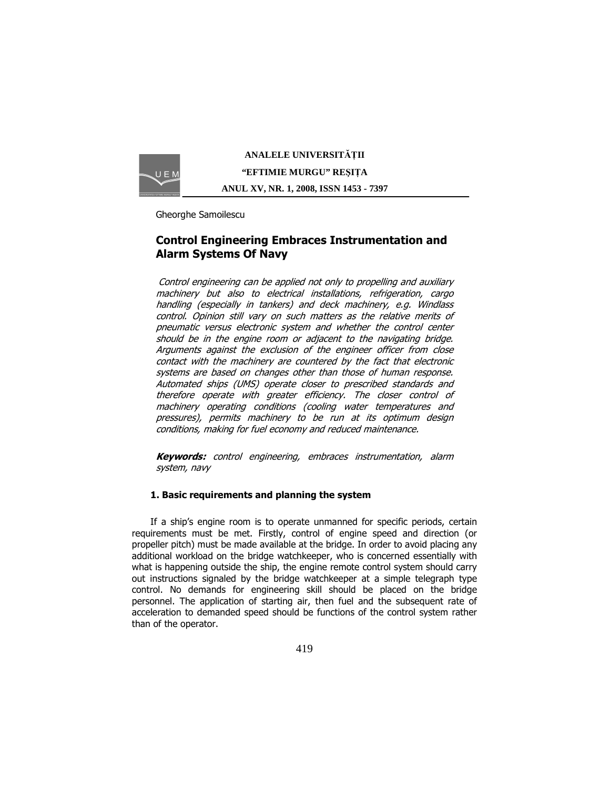

**ANALELE UNIVERSIT**Ăł**II "EFTIMIE MURGU" RE**Ş**I**ł**A ANUL XV, NR. 1, 2008, ISSN 1453 - 7397** 

Gheorghe Samoilescu

# Control Engineering Embraces Instrumentation and Alarm Systems Of Navy

Control engineering can be applied not only to propelling and auxiliary machinery but also to electrical installations, refrigeration, cargo handling (especially in tankers) and deck machinery, e.g. Windlass control. Opinion still vary on such matters as the relative merits of pneumatic versus electronic system and whether the control center should be in the engine room or adjacent to the navigating bridge. Arguments against the exclusion of the engineer officer from close contact with the machinery are countered by the fact that electronic systems are based on changes other than those of human response. Automated ships (UMS) operate closer to prescribed standards and therefore operate with greater efficiency. The closer control of machinery operating conditions (cooling water temperatures and pressures), permits machinery to be run at its optimum design conditions, making for fuel economy and reduced maintenance.

**Keywords:** control engineering, embraces instrumentation, alarm system, navy

# 1. Basic requirements and planning the system

 If a ship's engine room is to operate unmanned for specific periods, certain requirements must be met. Firstly, control of engine speed and direction (or propeller pitch) must be made available at the bridge. In order to avoid placing any additional workload on the bridge watchkeeper, who is concerned essentially with what is happening outside the ship, the engine remote control system should carry out instructions signaled by the bridge watchkeeper at a simple telegraph type control. No demands for engineering skill should be placed on the bridge personnel. The application of starting air, then fuel and the subsequent rate of acceleration to demanded speed should be functions of the control system rather than of the operator.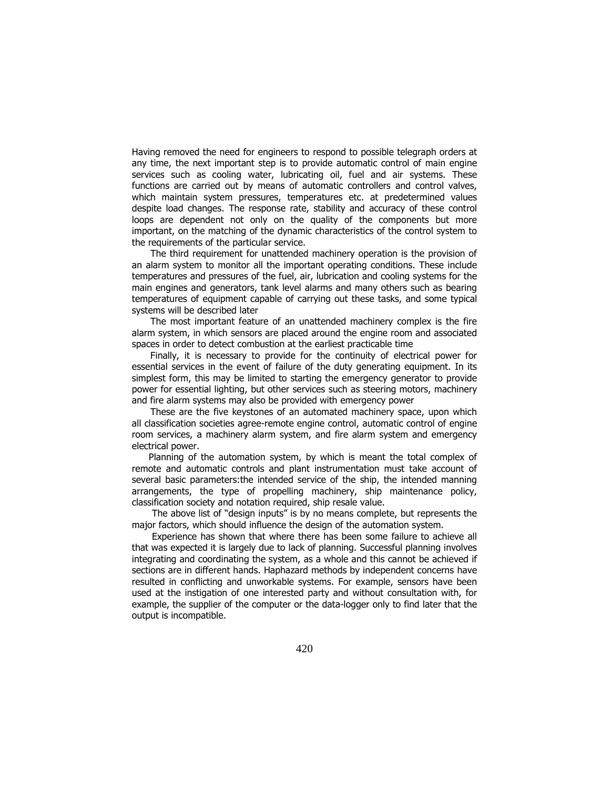Having removed the need for engineers to respond to possible telegraph orders at any time, the next important step is to provide automatic control of main engine services such as cooling water, lubricating oil, fuel and air systems. These functions are carried out by means of automatic controllers and control valves, which maintain system pressures, temperatures etc. at predetermined values despite load changes. The response rate, stability and accuracy of these control loops are dependent not only on the quality of the components but more important, on the matching of the dynamic characteristics of the control system to the requirements of the particular service.

 The third requirement for unattended machinery operation is the provision of an alarm system to monitor all the important operating conditions. These include temperatures and pressures of the fuel, air, lubrication and cooling systems for the main engines and generators, tank level alarms and many others such as bearing temperatures of equipment capable of carrying out these tasks, and some typical systems will be described later

 The most important feature of an unattended machinery complex is the fire alarm system, in which sensors are placed around the engine room and associated spaces in order to detect combustion at the earliest practicable time

 Finally, it is necessary to provide for the continuity of electrical power for essential services in the event of failure of the duty generating equipment. In its simplest form, this may be limited to starting the emergency generator to provide power for essential lighting, but other services such as steering motors, machinery and fire alarm systems may also be provided with emergency power

 These are the five keystones of an automated machinery space, upon which all classification societies agree-remote engine control, automatic control of engine room services, a machinery alarm system, and fire alarm system and emergency electrical power.

Planning of the automation system, by which is meant the total complex of remote and automatic controls and plant instrumentation must take account of several basic parameters:the intended service of the ship, the intended manning arrangements, the type of propelling machinery, ship maintenance policy, classification society and notation required, ship resale value.

The above list of "design inputs" is by no means complete, but represents the major factors, which should influence the design of the automation system.

Experience has shown that where there has been some failure to achieve all that was expected it is largely due to lack of planning. Successful planning involves integrating and coordinating the system, as a whole and this cannot be achieved if sections are in different hands. Haphazard methods by independent concerns have resulted in conflicting and unworkable systems. For example, sensors have been used at the instigation of one interested party and without consultation with, for example, the supplier of the computer or the data-logger only to find later that the output is incompatible.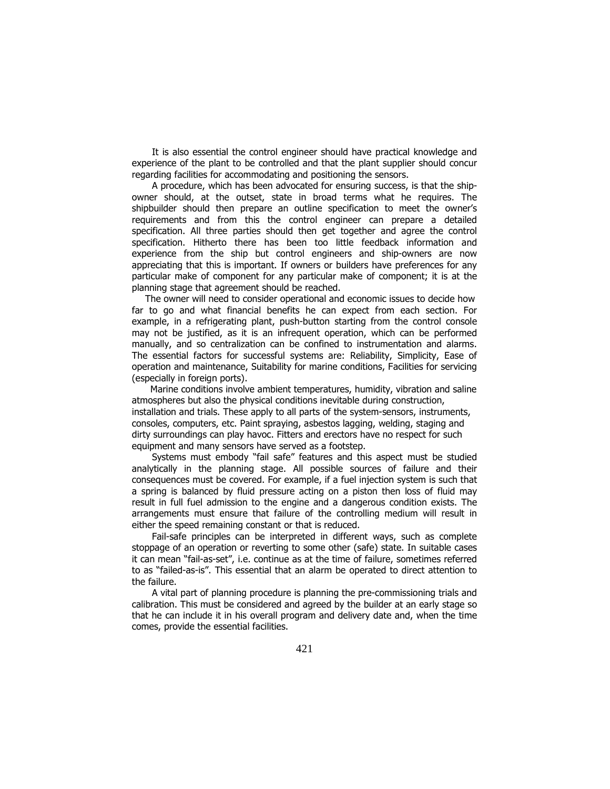It is also essential the control engineer should have practical knowledge and experience of the plant to be controlled and that the plant supplier should concur regarding facilities for accommodating and positioning the sensors.

A procedure, which has been advocated for ensuring success, is that the shipowner should, at the outset, state in broad terms what he requires. The shipbuilder should then prepare an outline specification to meet the owner's requirements and from this the control engineer can prepare a detailed specification. All three parties should then get together and agree the control specification. Hitherto there has been too little feedback information and experience from the ship but control engineers and ship-owners are now appreciating that this is important. If owners or builders have preferences for any particular make of component for any particular make of component; it is at the planning stage that agreement should be reached.

The owner will need to consider operational and economic issues to decide how far to go and what financial benefits he can expect from each section. For example, in a refrigerating plant, push-button starting from the control console may not be justified, as it is an infrequent operation, which can be performed manually, and so centralization can be confined to instrumentation and alarms. The essential factors for successful systems are: Reliability, Simplicity, Ease of operation and maintenance, Suitability for marine conditions, Facilities for servicing (especially in foreign ports).

 Marine conditions involve ambient temperatures, humidity, vibration and saline atmospheres but also the physical conditions inevitable during construction, installation and trials. These apply to all parts of the system-sensors, instruments, consoles, computers, etc. Paint spraying, asbestos lagging, welding, staging and dirty surroundings can play havoc. Fitters and erectors have no respect for such equipment and many sensors have served as a footstep.

Systems must embody "fail safe" features and this aspect must be studied analytically in the planning stage. All possible sources of failure and their consequences must be covered. For example, if a fuel injection system is such that a spring is balanced by fluid pressure acting on a piston then loss of fluid may result in full fuel admission to the engine and a dangerous condition exists. The arrangements must ensure that failure of the controlling medium will result in either the speed remaining constant or that is reduced.

Fail-safe principles can be interpreted in different ways, such as complete stoppage of an operation or reverting to some other (safe) state. In suitable cases it can mean "fail-as-set", i.e. continue as at the time of failure, sometimes referred to as "failed-as-is". This essential that an alarm be operated to direct attention to the failure.

A vital part of planning procedure is planning the pre-commissioning trials and calibration. This must be considered and agreed by the builder at an early stage so that he can include it in his overall program and delivery date and, when the time comes, provide the essential facilities.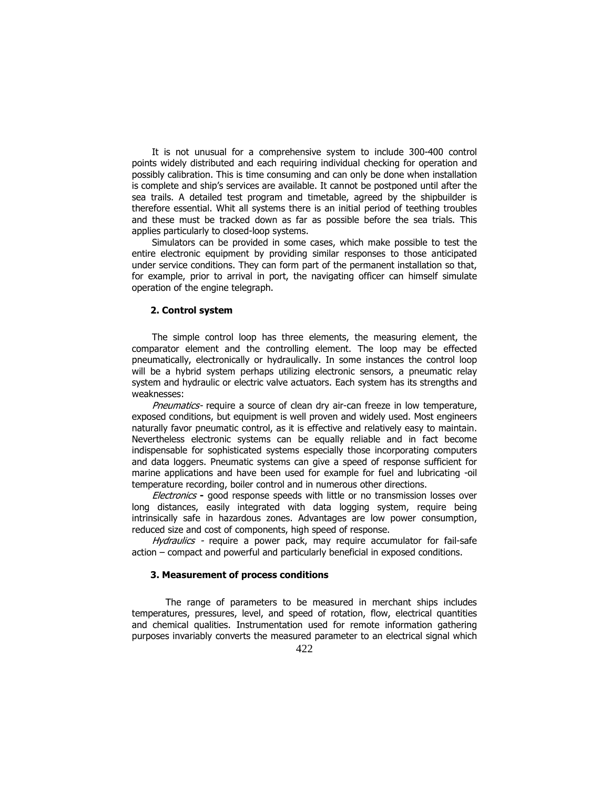It is not unusual for a comprehensive system to include 300-400 control points widely distributed and each requiring individual checking for operation and possibly calibration. This is time consuming and can only be done when installation is complete and ship's services are available. It cannot be postponed until after the sea trails. A detailed test program and timetable, agreed by the shipbuilder is therefore essential. Whit all systems there is an initial period of teething troubles and these must be tracked down as far as possible before the sea trials. This applies particularly to closed-loop systems.

Simulators can be provided in some cases, which make possible to test the entire electronic equipment by providing similar responses to those anticipated under service conditions. They can form part of the permanent installation so that, for example, prior to arrival in port, the navigating officer can himself simulate operation of the engine telegraph.

### 2. Control system

The simple control loop has three elements, the measuring element, the comparator element and the controlling element. The loop may be effected pneumatically, electronically or hydraulically. In some instances the control loop will be a hybrid system perhaps utilizing electronic sensors, a pneumatic relay system and hydraulic or electric valve actuators. Each system has its strengths and weaknesses:

Pneumatics- require a source of clean dry air-can freeze in low temperature, exposed conditions, but equipment is well proven and widely used. Most engineers naturally favor pneumatic control, as it is effective and relatively easy to maintain. Nevertheless electronic systems can be equally reliable and in fact become indispensable for sophisticated systems especially those incorporating computers and data loggers. Pneumatic systems can give a speed of response sufficient for marine applications and have been used for example for fuel and lubricating -oil temperature recording, boiler control and in numerous other directions.

Electronics - good response speeds with little or no transmission losses over long distances, easily integrated with data logging system, require being intrinsically safe in hazardous zones. Advantages are low power consumption, reduced size and cost of components, high speed of response.

Hydraulics - require a power pack, may require accumulator for fail-safe action – compact and powerful and particularly beneficial in exposed conditions.

## 3. Measurement of process conditions

The range of parameters to be measured in merchant ships includes temperatures, pressures, level, and speed of rotation, flow, electrical quantities and chemical qualities. Instrumentation used for remote information gathering purposes invariably converts the measured parameter to an electrical signal which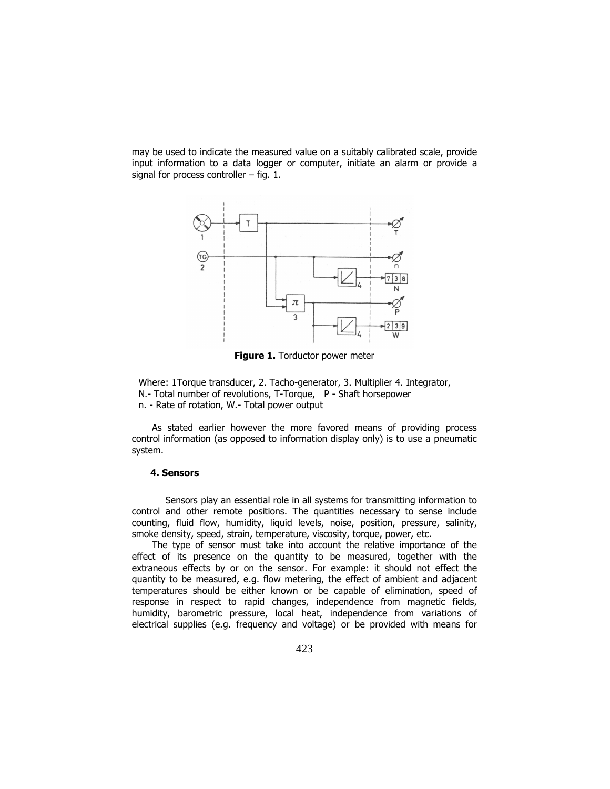may be used to indicate the measured value on a suitably calibrated scale, provide input information to a data logger or computer, initiate an alarm or provide a signal for process controller – fig. 1.



Figure 1. Torductor power meter

Where: 1Torque transducer, 2. Tacho-generator, 3. Multiplier 4. Integrator, N.- Total number of revolutions, T-Torque, P - Shaft horsepower n. - Rate of rotation, W.- Total power output

As stated earlier however the more favored means of providing process control information (as opposed to information display only) is to use a pneumatic system.

#### 4. Sensors

Sensors play an essential role in all systems for transmitting information to control and other remote positions. The quantities necessary to sense include counting, fluid flow, humidity, liquid levels, noise, position, pressure, salinity, smoke density, speed, strain, temperature, viscosity, torque, power, etc.

The type of sensor must take into account the relative importance of the effect of its presence on the quantity to be measured, together with the extraneous effects by or on the sensor. For example: it should not effect the quantity to be measured, e.g. flow metering, the effect of ambient and adjacent temperatures should be either known or be capable of elimination, speed of response in respect to rapid changes, independence from magnetic fields, humidity, barometric pressure, local heat, independence from variations of electrical supplies (e.g. frequency and voltage) or be provided with means for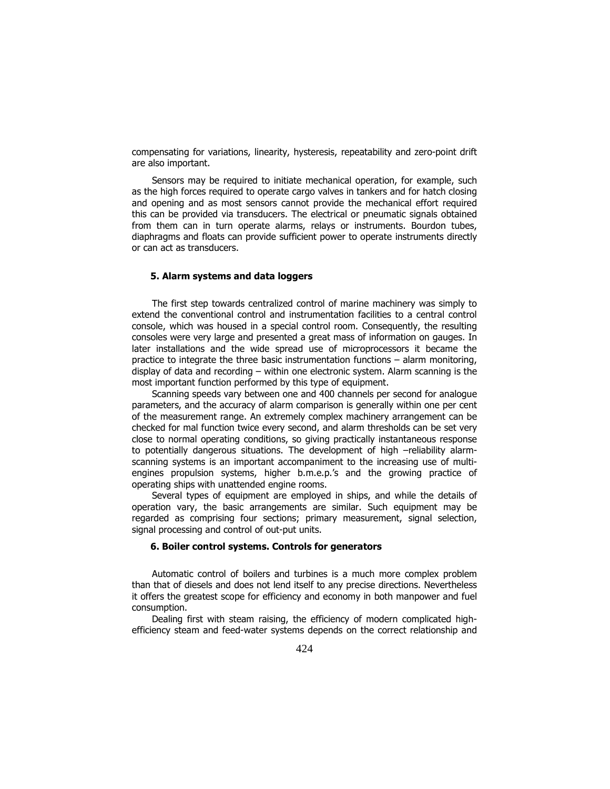compensating for variations, linearity, hysteresis, repeatability and zero-point drift are also important.

Sensors may be required to initiate mechanical operation, for example, such as the high forces required to operate cargo valves in tankers and for hatch closing and opening and as most sensors cannot provide the mechanical effort required this can be provided via transducers. The electrical or pneumatic signals obtained from them can in turn operate alarms, relays or instruments. Bourdon tubes, diaphragms and floats can provide sufficient power to operate instruments directly or can act as transducers.

### 5. Alarm systems and data loggers

The first step towards centralized control of marine machinery was simply to extend the conventional control and instrumentation facilities to a central control console, which was housed in a special control room. Consequently, the resulting consoles were very large and presented a great mass of information on gauges. In later installations and the wide spread use of microprocessors it became the practice to integrate the three basic instrumentation functions – alarm monitoring, display of data and recording – within one electronic system. Alarm scanning is the most important function performed by this type of equipment.

Scanning speeds vary between one and 400 channels per second for analogue parameters, and the accuracy of alarm comparison is generally within one per cent of the measurement range. An extremely complex machinery arrangement can be checked for mal function twice every second, and alarm thresholds can be set very close to normal operating conditions, so giving practically instantaneous response to potentially dangerous situations. The development of high –reliability alarmscanning systems is an important accompaniment to the increasing use of multiengines propulsion systems, higher b.m.e.p.'s and the growing practice of operating ships with unattended engine rooms.

Several types of equipment are employed in ships, and while the details of operation vary, the basic arrangements are similar. Such equipment may be regarded as comprising four sections; primary measurement, signal selection, signal processing and control of out-put units.

#### 6. Boiler control systems. Controls for generators

Automatic control of boilers and turbines is a much more complex problem than that of diesels and does not lend itself to any precise directions. Nevertheless it offers the greatest scope for efficiency and economy in both manpower and fuel consumption.

Dealing first with steam raising, the efficiency of modern complicated highefficiency steam and feed-water systems depends on the correct relationship and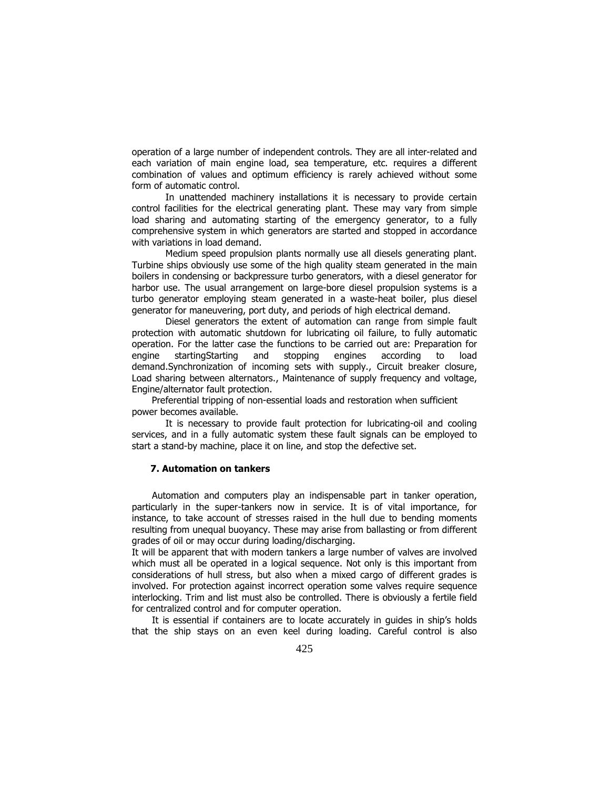operation of a large number of independent controls. They are all inter-related and each variation of main engine load, sea temperature, etc. requires a different combination of values and optimum efficiency is rarely achieved without some form of automatic control.

In unattended machinery installations it is necessary to provide certain control facilities for the electrical generating plant. These may vary from simple load sharing and automating starting of the emergency generator, to a fully comprehensive system in which generators are started and stopped in accordance with variations in load demand.

Medium speed propulsion plants normally use all diesels generating plant. Turbine ships obviously use some of the high quality steam generated in the main boilers in condensing or backpressure turbo generators, with a diesel generator for harbor use. The usual arrangement on large-bore diesel propulsion systems is a turbo generator employing steam generated in a waste-heat boiler, plus diesel generator for maneuvering, port duty, and periods of high electrical demand.

Diesel generators the extent of automation can range from simple fault protection with automatic shutdown for lubricating oil failure, to fully automatic operation. For the latter case the functions to be carried out are: Preparation for engine startingStarting and stopping engines according to load demand.Synchronization of incoming sets with supply., Circuit breaker closure, Load sharing between alternators., Maintenance of supply frequency and voltage, Engine/alternator fault protection.

Preferential tripping of non-essential loads and restoration when sufficient power becomes available.

It is necessary to provide fault protection for lubricating-oil and cooling services, and in a fully automatic system these fault signals can be employed to start a stand-by machine, place it on line, and stop the defective set.

# 7. Automation on tankers

Automation and computers play an indispensable part in tanker operation, particularly in the super-tankers now in service. It is of vital importance, for instance, to take account of stresses raised in the hull due to bending moments resulting from unequal buoyancy. These may arise from ballasting or from different grades of oil or may occur during loading/discharging.

It will be apparent that with modern tankers a large number of valves are involved which must all be operated in a logical sequence. Not only is this important from considerations of hull stress, but also when a mixed cargo of different grades is involved. For protection against incorrect operation some valves require sequence interlocking. Trim and list must also be controlled. There is obviously a fertile field for centralized control and for computer operation.

It is essential if containers are to locate accurately in guides in ship's holds that the ship stays on an even keel during loading. Careful control is also